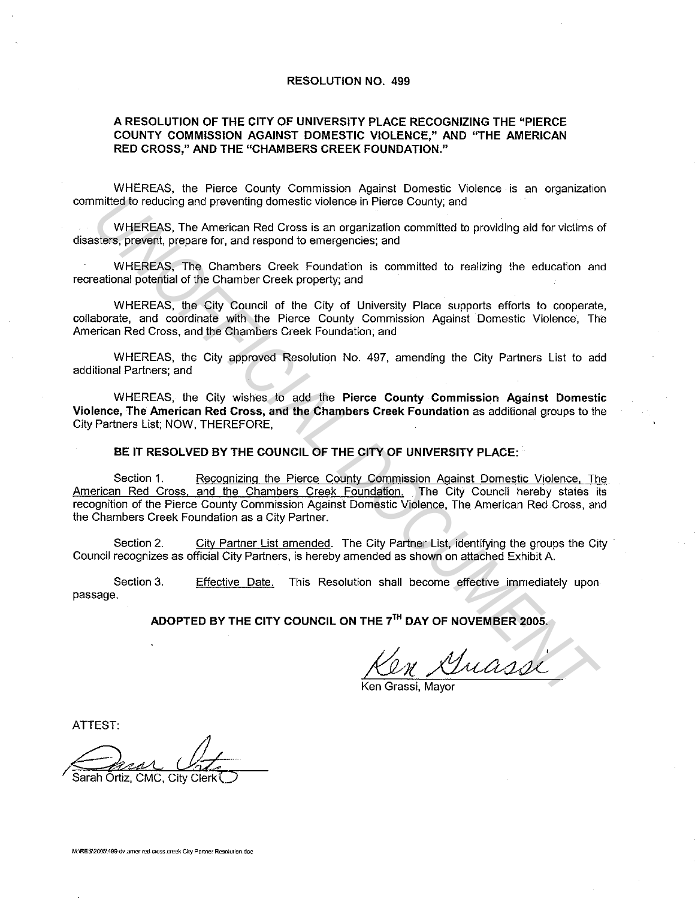## **RESOLUTION NO. 499**

## **A RESOLUTION OF THE CITY OF UNIVERSITY PLACE RECOGNIZING THE "PIERCE COUNTY COMMISSION AGAINST DOMESTIC VIOLENCE," AND "THE AMERICAN RED CROSS," AND THE "CHAMBERS CREEK FOUNDATION."**

WHEREAS, the Pierce County Commission Against Domestic Violence is an organization committed to reducing and preventing domestic violence in Pierce County; and

WHEREAS, The American Red Cross is an organization committed to providing aid for victims of disasters. prevent, prepare for, and respond to emergencies; and

WHEREAS, The Chambers Creek Foundation is committed to realizing the education and recreational potential of the Chamber Creek property; and

WHEREAS, the City Council of the City of University Place supports efforts to cooperate, collaborate, and coordinate with the Pierce County Commission Against Domestic Violence. The American Red Cross, and the Chambers Creek Foundation; and

WHEREAS, the City approved Resolution No. 497. amending the City Partners List to add additional Partners; and

WHEREAS, the City wishes to add the **Pierce County Commission Against Domestic Violence, The American Red Cross, and the Chambers Creek Foundation** as additional groups to the City Partners List; NOW, THEREFORE,

**BE IT RESOLVED BY THE COUNCIL OF THE CITY OF UNIVERSITY PLACE:** 

Section 1. Recognizing the Pierce County Commission Against Domestic Violence, The American Red Cross. and the Chambers Creek Foundation. The City Council hereby states its recognition of the Pierce County Commission Against Domestic Violence, The American Red Cross, and the Chambers Creek Foundation as a City Partner. Imited to reducing and preventing domestic violence in Pierce County, and<br>
WHEREAS, The American Red Cross is an organization committed to providing aid for victims of<br>
UNEREAS, The Chambers Creek Foundation is committed t

Section 2. City Partner List amended. The City Partner List, identifying the groups the City Council recognizes as official City Partners, is hereby amended as shown on attached Exhibit A.

Section 3. passage. Effective Date. This Resolution shall become effective immediately upon

**ADOPTED BY THE CITY COUNCIL ON THE** *7***<sup>1</sup> " DAY OF NOVEMBER 2005.** 

 $v$  Guassi

Ken

ATTEST:

Sarah Ōrtiz. CMC. City Clerl